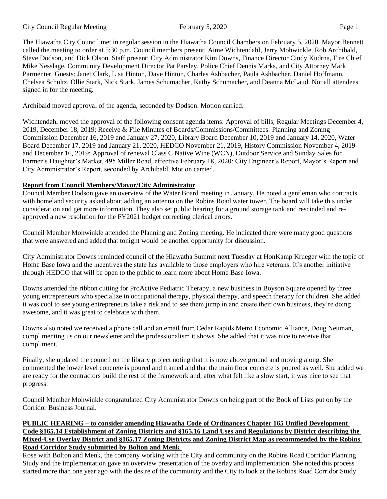The Hiawatha City Council met in regular session in the Hiawatha Council Chambers on February 5, 2020. Mayor Bennett called the meeting to order at 5:30 p.m. Council members present: Aime Wichtendahl, Jerry Mohwinkle, Rob Archibald, Steve Dodson, and Dick Olson. Staff present: City Administrator Kim Downs, Finance Director Cindy Kudrna, Fire Chief Mike Nesslage, Community Development Director Pat Parsley, Police Chief Dennis Marks, and City Attorney Mark Parmenter. Guests: Janet Clark, Lisa Hinton, Dave Hinton, Charles Ashbacher, Paula Ashbacher, Daniel Hoffmann, Chelsea Schultz, Ollie Stark, Nick Stark, James Schumacher, Kathy Schumacher, and Deanna McLaud. Not all attendees signed in for the meeting.

Archibald moved approval of the agenda, seconded by Dodson. Motion carried.

Wichtendahl moved the approval of the following consent agenda items: Approval of bills; Regular Meetings December 4, 2019, December 18, 2019; Receive & File Minutes of Boards/Commissions/Committees: Planning and Zoning Commission December 16, 2019 and January 27, 2020, Library Board December 10, 2019 and January 14, 2020, Water Board December 17, 2019 and January 21, 2020, HEDCO November 21, 2019, History Commission November 4, 2019 and December 16, 2019; Approval of renewal Class C Native Wine (WCN), Outdoor Service and Sunday Sales for Farmer's Daughter's Market, 495 Miller Road, effective February 18, 2020; City Engineer's Report, Mayor's Report and City Administrator's Report, seconded by Archibald. Motion carried.

# **Report from Council Members/Mayor/City Administrator**

Council Member Dodson gave an overview of the Water Board meeting in January. He noted a gentleman who contracts with homeland security asked about adding an antenna on the Robins Road water tower. The board will take this under consideration and get more information. They also set public hearing for a ground storage tank and rescinded and reapproved a new resolution for the FY2021 budget correcting clerical errors.

Council Member Mohwinkle attended the Planning and Zoning meeting. He indicated there were many good questions that were answered and added that tonight would be another opportunity for discussion.

City Administrator Downs reminded council of the Hiawatha Summit next Tuesday at HonKamp Krueger with the topic of Home Base Iowa and the incentives the state has available to those employers who hire veterans. It's another initiative through HEDCO that will be open to the public to learn more about Home Base Iowa.

Downs attended the ribbon cutting for ProActive Pediatric Therapy, a new business in Boyson Square opened by three young entrepreneurs who specialize in occupational therapy, physical therapy, and speech therapy for children. She added it was cool to see young entrepreneurs take a risk and to see them jump in and create their own business, they're doing awesome, and it was great to celebrate with them.

Downs also noted we received a phone call and an email from Cedar Rapids Metro Economic Alliance, Doug Neuman, complimenting us on our newsletter and the professionalism it shows. She added that it was nice to receive that compliment.

Finally, she updated the council on the library project noting that it is now above ground and moving along. She commented the lower level concrete is poured and framed and that the main floor concrete is poured as well. She added we are ready for the contractors build the rest of the framework and, after what felt like a slow start, it was nice to see that progress.

Council Member Mohwinkle congratulated City Administrator Downs on being part of the Book of Lists put on by the Corridor Business Journal.

#### **PUBLIC HEARING – to consider amending Hiawatha Code of Ordinances Chapter 165 Unified Development Code §165.14 Establishment of Zoning Districts and §165.16 Land Uses and Regulations by District describing the Mixed-Use Overlay District and §165.17 Zoning Districts and Zoning District Map as recommended by the Robins Road Corridor Study submitted by Bolton and Menk**

Rose with Bolton and Menk, the company working with the City and community on the Robins Road Corridor Planning Study and the implementation gave an overview presentation of the overlay and implementation. She noted this process started more than one year ago with the desire of the community and the City to look at the Robins Road Corridor Study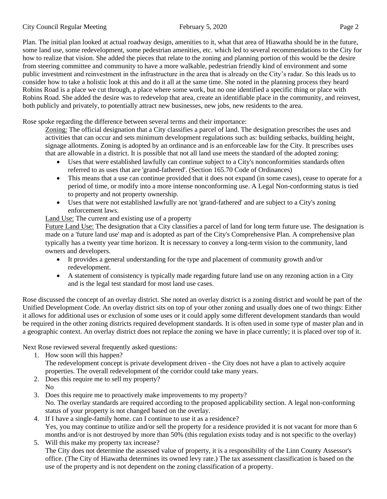Plan. The initial plan looked at actual roadway design, amenities to it, what that area of Hiawatha should be in the future, some land use, some redevelopment, some pedestrian amenities, etc. which led to several recommendations to the City for how to realize that vision. She added the pieces that relate to the zoning and planning portion of this would be the desire from steering committee and community to have a more walkable, pedestrian friendly kind of environment and some public investment and reinvestment in the infrastructure in the area that is already on the City's radar. So this leads us to consider how to take a holistic look at this and do it all at the same time. She noted in the planning process they heard Robins Road is a place we cut through, a place where some work, but no one identified a specific thing or place with Robins Road. She added the desire was to redevelop that area, create an identifiable place in the community, and reinvest, both publicly and privately, to potentially attract new businesses, new jobs, new residents to the area.

Rose spoke regarding the difference between several terms and their importance:

Zoning: The official designation that a City classifies a parcel of land. The designation prescribes the uses and activities that can occur and sets minimum development regulations such as: building setbacks, building height, signage allotments. Zoning is adopted by an ordinance and is an enforceable law for the City. It prescribes uses that are allowable in a district. It is possible that not all land use meets the standard of the adopted zoning:

- Uses that were established lawfully can continue subject to a City's nonconformities standards often referred to as uses that are 'grand-fathered'. (Section 165.70 Code of Ordinances)
- This means that a use can continue provided that it does not expand (in some cases), cease to operate for a period of time, or modify into a more intense nonconforming use. A Legal Non-conforming status is tied to property and not property ownership.
- Uses that were not established lawfully are not 'grand-fathered' and are subject to a City's zoning enforcement laws.

## Land Use: The current and existing use of a property

Future Land Use: The designation that a City classifies a parcel of land for long term future use. The designation is made on a 'future land use' map and is adopted as part of the City's Comprehensive Plan. A comprehensive plan typically has a twenty year time horizon. It is necessary to convey a long-term vision to the community, land owners and developers.

- It provides a general understanding for the type and placement of community growth and/or redevelopment.
- A statement of consistency is typically made regarding future land use on any rezoning action in a City and is the legal test standard for most land use cases.

Rose discussed the concept of an overlay district. She noted an overlay district is a zoning district and would be part of the Unified Development Code. An overlay district sits on top of your other zoning and usually does one of two things: Either it allows for additional uses or exclusion of some uses or it could apply some different development standards than would be required in the other zoning districts required development standards. It is often used in some type of master plan and in a geographic context. An overlay district does not replace the zoning we have in place currently; it is placed over top of it.

Next Rose reviewed several frequently asked questions:

1. How soon will this happen?

The redevelopment concept is private development driven - the City does not have a plan to actively acquire properties. The overall redevelopment of the corridor could take many years.

- 2. Does this require me to sell my property? No
- 3. Does this require me to proactively make improvements to my property? No. The overlay standards are required according to the proposed applicability section. A legal non-conforming status of your property is not changed based on the overlay.
- 4. If I have a single-family home. can I continue to use it as a residence? Yes, you may continue to utilize and/or sell the property for a residence provided it is not vacant for more than 6 months and/or is not destroyed by more than 50% (this regulation exists today and is not specific to the overlay)
- 5. Will this make my property tax increase? The City does not determine the assessed value of property, it is a responsibility of the Linn County Assessor's office. (The City of Hiawatha determines its owned levy rate.) The tax assessment classification is based on the use of the property and is not dependent on the zoning classification of a property.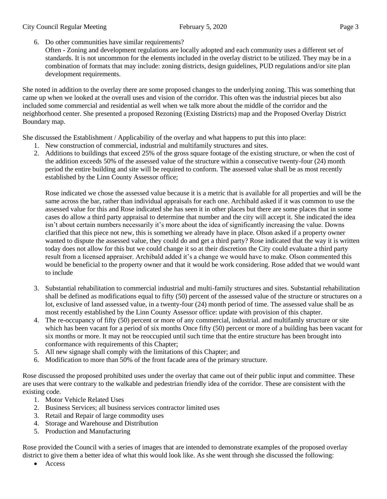#### City Council Regular Meeting February 5, 2020 Page 3

- 6. Do other communities have similar requirements?
	- Often Zoning and development regulations are locally adopted and each community uses a different set of standards. It is not uncommon for the elements included in the overlay district to be utilized. They may be in a combination of formats that may include: zoning districts, design guidelines, PUD regulations and/or site plan development requirements.

She noted in addition to the overlay there are some proposed changes to the underlying zoning. This was something that came up when we looked at the overall uses and vision of the corridor. This often was the industrial pieces but also included some commercial and residential as well when we talk more about the middle of the corridor and the neighborhood center. She presented a proposed Rezoning (Existing Districts) map and the Proposed Overlay District Boundary map.

She discussed the Establishment / Applicability of the overlay and what happens to put this into place:

- 1. New construction of commercial, industrial and multifamily structures and sites.
- 2. Additions to buildings that exceed 25% of the gross square footage of the existing structure, or when the cost of the addition exceeds 50% of the assessed value of the structure within a consecutive twenty-four (24) month period the entire building and site will be required to conform. The assessed value shall be as most recently established by the Linn County Assessor office;

Rose indicated we chose the assessed value because it is a metric that is available for all properties and will be the same across the bar, rather than individual appraisals for each one. Archibald asked if it was common to use the assessed value for this and Rose indicated she has seen it in other places but there are some places that in some cases do allow a third party appraisal to determine that number and the city will accept it. She indicated the idea isn't about certain numbers necessarily it's more about the idea of significantly increasing the value. Downs clarified that this piece not new, this is something we already have in place. Olson asked if a property owner wanted to dispute the assessed value, they could do and get a third party? Rose indicated that the way it is written today does not allow for this but we could change it so at their discretion the City could evaluate a third party result from a licensed appraiser. Archibald added it's a change we would have to make. Olson commented this would be beneficial to the property owner and that it would be work considering. Rose added that we would want to include

- 3. Substantial rehabilitation to commercial industrial and multi-family structures and sites. Substantial rehabilitation shall be defined as modifications equal to fifty (50) percent of the assessed value of the structure or structures on a lot, exclusive of land assessed value, in a twenty-four (24) month period of time. The assessed value shall be as most recently established by the Linn County Assessor office: update with provision of this chapter.
- 4. The re-occupancy of fifty (50) percent or more of any commercial, industrial. and multifamly structure or site which has been vacant for a period of six months Once fifty (50) percent or more of a building has been vacant for six months or more. It may not be reoccupied until such time that the entire structure has been brought into conformance with requirements of this Chapter;
- 5. All new signage shall comply with the limitations of this Chapter; and
- 6. Modification to more than 50% of the front facade area of the primary structure.

Rose discussed the proposed prohibited uses under the overlay that came out of their public input and committee. These are uses that were contrary to the walkable and pedestrian friendly idea of the corridor. These are consistent with the existing code.

- 1. Motor Vehicle Related Uses
- 2. Business Services; all business services contractor limited uses
- 3. Retail and Repair of large commodity uses
- 4. Storage and Warehouse and Distribution
- 5. Production and Manufacturing

Rose provided the Council with a series of images that are intended to demonstrate examples of the proposed overlay district to give them a better idea of what this would look like. As she went through she discussed the following:

• Access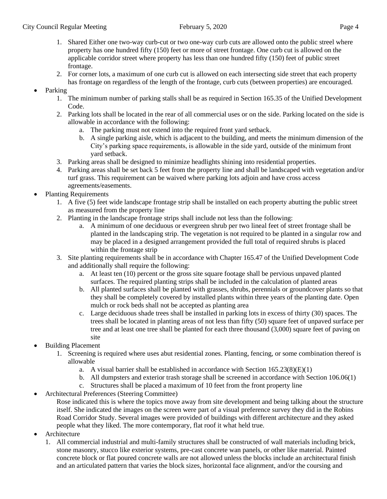- 1. Shared Either one two-way curb-cut or two one-way curb cuts are allowed onto the public streel where property has one hundred fifty (150) feet or more of street frontage. One curb cut is allowed on the applicable corridor street where property has less than one hundred fifty (150) feet of public street frontage.
- 2. For corner lots, a maximum of one curb cut is allowed on each intersecting side street that each property has frontage on regardless of the length of the frontage, curb cuts (between properties) are encouraged.
- Parking
	- 1. The minimum number of parking stalls shall be as required in Section 165.35 of the Unified Development Code.
	- 2. Parking lots shall be located in the rear of all commercial uses or on the side. Parking located on the side is allowable in accordance with the following:
		- a. The parking must not extend into the required front yard setback.
		- b. A single parking aisle, which is adjacent to the building, and meets the minimum dimension of the City's parking space requirements, is allowable in the side yard, outside of the minimum front yard setback.
	- 3. Parking areas shall be designed to minimize headlights shining into residential properties.
	- 4. Parking areas shall be set back 5 feet from the property line and shall be landscaped with vegetation and/or turf grass. This requirement can be waived where parking lots adjoin and have cross access agreements/easements.
- Planting Requirements
	- 1. A five (5) feet wide landscape frontage strip shall be installed on each property abutting the public street as measured from the property line
	- 2. Planting in the landscape frontage strips shall include not less than the following:
		- a. A minimum of one deciduous or evergreen shrub per two lineal feet of street frontage shall be planted in the landscaping strip. The vegetation is not required to be planted in a singular row and may be placed in a designed arrangement provided the full total of required shrubs is placed within the frontage strip
	- 3. Site planting requirements shall be in accordance with Chapter 165.47 of the Unified Development Code and additionally shall require the following:
		- a. At least ten (10) percent or the gross site square footage shall be pervious unpaved planted surfaces. The required planting strips shall be included in the calculation of planted areas
		- b. All planted surfaces shall be planted with grasses, shrubs, perennials or groundcover plants so that they shall be completely covered by installed plants within three years of the planting date. Open mulch or rock beds shall not be accepted as planting area
		- c. Large deciduous shade trees shall be installed in parking lots in excess of thirty (30) spaces. The trees shall be located in planting areas of not less than fifty (50) square feet of unpaved surface per tree and at least one tree shall be planted for each three thousand (3,000) square feet of paving on site
- Building Placement
	- 1. Screening is required where uses abut residential zones. Planting, fencing, or some combination thereof is allowable
		- a. A visual barrier shall be established in accordance with Section  $165.23(8)(E)(1)$
		- b. All dumpsters and exterior trash storage shall be screened in accordance with Section 106.06(1)
		- c. Structures shall be placed a maximum of 10 feet from the front property line
- Architectural Preferences (Steering Committee)
	- Rose indicated this is where the topics move away from site development and being talking about the structure itself. She indicated the images on the screen were part of a visual preference survey they did in the Robins Road Corridor Study. Several images were provided of buildings with different architecture and they asked people what they liked. The more contemporary, flat roof it what held true.
- **Architecture** 
	- 1. All commercial industrial and multi-family structures shall be constructed of wall materials including brick, stone masonry, stucco like exterior systems, pre-cast concrete wan panels, or other like material. Painted concrete block or flat poured concrete walls are not allowed unless the blocks include an architectural finish and an articulated pattern that varies the block sizes, horizontal face alignment, and/or the coursing and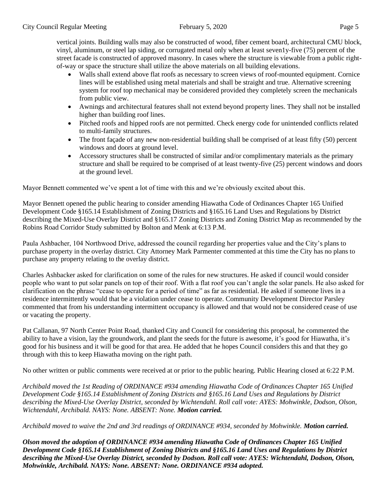vertical joints. Building walls may also be constructed of wood, fiber cement board, architectural CMU block, vinyl, aluminum, or steel lap siding, or corrugated metal only when at least seven1y-five (75) percent of the street facade is constructed of approved masonry. In cases where the structure is viewable from a public rightof-way or space the structure shall utilize the above materials on all building elevations.

- Walls shall extend above flat roofs as necessary to screen views of roof-mounted equipment. Cornice lines will be established using metal materials and shall be straight and true. Alternative screening system for roof top mechanical may be considered provided they completely screen the mechanicals from public view.
- Awnings and architectural features shall not extend beyond property lines. They shall not be installed higher than building roof lines.
- Pitched roofs and hipped roofs are not permitted. Check energy code for unintended conflicts related to multi-family structures.
- The front facade of any new non-residential building shall be comprised of at least fifty (50) percent windows and doors at ground level.
- Accessory structures shall be constructed of similar and/or complimentary materials as the primary structure and shall be required to be comprised of at least twenty-five (25) percent windows and doors at the ground level.

Mayor Bennett commented we've spent a lot of time with this and we're obviously excited about this.

Mayor Bennett opened the public hearing to consider amending Hiawatha Code of Ordinances Chapter 165 Unified Development Code §165.14 Establishment of Zoning Districts and §165.16 Land Uses and Regulations by District describing the Mixed-Use Overlay District and §165.17 Zoning Districts and Zoning District Map as recommended by the Robins Road Corridor Study submitted by Bolton and Menk at 6:13 P.M.

Paula Ashbacher, 104 Northwood Drive, addressed the council regarding her properties value and the City's plans to purchase property in the overlay district. City Attorney Mark Parmenter commented at this time the City has no plans to purchase any property relating to the overlay district.

Charles Ashbacker asked for clarification on some of the rules for new structures. He asked if council would consider people who want to put solar panels on top of their roof. With a flat roof you can't angle the solar panels. He also asked for clarification on the phrase "cease to operate for a period of time" as far as residential. He asked if someone lives in a residence intermittently would that be a violation under cease to operate. Community Development Director Parsley commented that from his understanding intermittent occupancy is allowed and that would not be considered cease of use or vacating the property.

Pat Callanan, 97 North Center Point Road, thanked City and Council for considering this proposal, he commented the ability to have a vision, lay the groundwork, and plant the seeds for the future is awesome, it's good for Hiawatha, it's good for his business and it will be good for that area. He added that he hopes Council considers this and that they go through with this to keep Hiawatha moving on the right path.

No other written or public comments were received at or prior to the public hearing. Public Hearing closed at 6:22 P.M.

*Archibald moved the 1st Reading of ORDINANCE #934 amending Hiawatha Code of Ordinances Chapter 165 Unified Development Code §165.14 Establishment of Zoning Districts and §165.16 Land Uses and Regulations by District describing the Mixed-Use Overlay District, seconded by Wichtendahl. Roll call vote: AYES: Mohwinkle, Dodson, Olson, Wichtendahl, Archibald. NAYS: None. ABSENT: None. Motion carried.* 

*Archibald moved to waive the 2nd and 3rd readings of ORDINANCE #934, seconded by Mohwinkle. Motion carried.* 

*Olson moved the adoption of ORDINANCE #934 amending Hiawatha Code of Ordinances Chapter 165 Unified Development Code §165.14 Establishment of Zoning Districts and §165.16 Land Uses and Regulations by District describing the Mixed-Use Overlay District, seconded by Dodson. Roll call vote: AYES: Wichtendahl, Dodson, Olson, Mohwinkle, Archibald. NAYS: None. ABSENT: None. ORDINANCE #934 adopted.*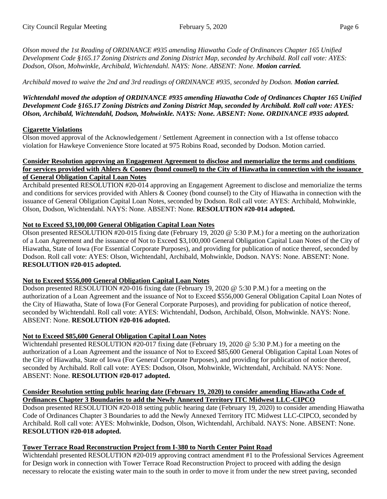*Olson moved the 1st Reading of ORDINANCE #935 amending Hiawatha Code of Ordinances Chapter 165 Unified Development Code §165.17 Zoning Districts and Zoning District Map, seconded by Archibald. Roll call vote: AYES: Dodson, Olson, Mohwinkle, Archibald, Wichtendahl. NAYS: None. ABSENT: None. Motion carried.* 

*Archibald moved to waive the 2nd and 3rd readings of ORDINANCE #935, seconded by Dodson. Motion carried.* 

*Wichtendahl moved the adoption of ORDINANCE #935 amending Hiawatha Code of Ordinances Chapter 165 Unified Development Code §165.17 Zoning Districts and Zoning District Map, seconded by Archibald. Roll call vote: AYES: Olson, Archibald, Wichtendahl, Dodson, Mohwinkle. NAYS: None. ABSENT: None. ORDINANCE #935 adopted.* 

### **Cigarette Violations**

Olson moved approval of the Acknowledgement / Settlement Agreement in connection with a 1st offense tobacco violation for Hawkeye Convenience Store located at 975 Robins Road, seconded by Dodson. Motion carried.

#### **Consider Resolution approving an Engagement Agreement to disclose and memorialize the terms and conditions for services provided with Ahlers & Cooney (bond counsel) to the City of Hiawatha in connection with the issuance of General Obligation Capital Loan Notes**

Archibald presented RESOLUTION #20-014 approving an Engagement Agreement to disclose and memorialize the terms and conditions for services provided with Ahlers & Cooney (bond counsel) to the City of Hiawatha in connection with the issuance of General Obligation Capital Loan Notes, seconded by Dodson. Roll call vote: AYES: Archibald, Mohwinkle, Olson, Dodson, Wichtendahl. NAYS: None. ABSENT: None. **RESOLUTION #20-014 adopted.**

## **Not to Exceed \$3,100,000 General Obligation Capital Loan Notes**

Olson presented RESOLUTION #20-015 fixing date (February 19, 2020 @ 5:30 P.M.) for a meeting on the authorization of a Loan Agreement and the issuance of Not to Exceed \$3,100,000 General Obligation Capital Loan Notes of the City of Hiawatha, State of Iowa (For Essential Corporate Purposes), and providing for publication of notice thereof, seconded by Dodson. Roll call vote: AYES: Olson, Wichtendahl, Archibald, Mohwinkle, Dodson. NAYS: None. ABSENT: None. **RESOLUTION #20-015 adopted.**

### **Not to Exceed \$556,000 General Obligation Capital Loan Notes**

Dodson presented RESOLUTION #20-016 fixing date (February 19, 2020 @ 5:30 P.M.) for a meeting on the authorization of a Loan Agreement and the issuance of Not to Exceed \$556,000 General Obligation Capital Loan Notes of the City of Hiawatha, State of Iowa (For General Corporate Purposes), and providing for publication of notice thereof, seconded by Wichtendahl. Roll call vote: AYES: Wichtendahl, Dodson, Archibald, Olson, Mohwinkle. NAYS: None. ABSENT: None. **RESOLUTION #20-016 adopted.**

# **Not to Exceed \$85,600 General Obligation Capital Loan Notes**

Wichtendahl presented RESOLUTION #20-017 fixing date (February 19, 2020 @ 5:30 P.M.) for a meeting on the authorization of a Loan Agreement and the issuance of Not to Exceed \$85,600 General Obligation Capital Loan Notes of the City of Hiawatha, State of Iowa (For General Corporate Purposes), and providing for publication of notice thereof, seconded by Archibald. Roll call vote: AYES: Dodson, Olson, Mohwinkle, Wichtendahl, Archibald. NAYS: None. ABSENT: None. **RESOLUTION #20-017 adopted.**

### **Consider Resolution setting public hearing date (February 19, 2020) to consider amending Hiawatha Code of Ordinances Chapter 3 Boundaries to add the Newly Annexed Territory ITC Midwest LLC-CIPCO**

Dodson presented RESOLUTION #20-018 setting public hearing date (February 19, 2020) to consider amending Hiawatha Code of Ordinances Chapter 3 Boundaries to add the Newly Annexed Territory ITC Midwest LLC-CIPCO, seconded by Archibald. Roll call vote: AYES: Mohwinkle, Dodson, Olson, Wichtendahl, Archibald. NAYS: None. ABSENT: None. **RESOLUTION #20-018 adopted.**

# **Tower Terrace Road Reconstruction Project from I-380 to North Center Point Road**

Wichtendahl presented RESOLUTION #20-019 approving contract amendment #1 to the Professional Services Agreement for Design work in connection with Tower Terrace Road Reconstruction Project to proceed with adding the design necessary to relocate the existing water main to the south in order to move it from under the new street paving, seconded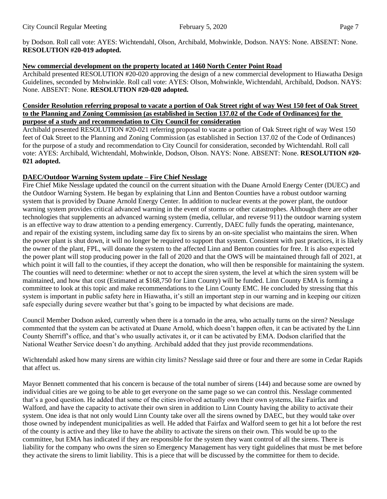by Dodson. Roll call vote: AYES: Wichtendahl, Olson, Archibald, Mohwinkle, Dodson. NAYS: None. ABSENT: None. **RESOLUTION #20-019 adopted.**

## **New commercial development on the property located at 1460 North Center Point Road**

Archibald presented RESOLUTION #20-020 approving the design of a new commercial development to Hiawatha Design Guidelines, seconded by Mohwinkle. Roll call vote: AYES: Olson, Mohwinkle, Wichtendahl, Archibald, Dodson. NAYS: None. ABSENT: None. **RESOLUTION #20-020 adopted.**

#### **Consider Resolution referring proposal to vacate a portion of Oak Street right of way West 150 feet of Oak Street to the Planning and Zoning Commission (as established in Section 137.02 of the Code of Ordinances) for the purpose of a study and recommendation to City Council for consideration**

Archibald presented RESOLUTION #20-021 referring proposal to vacate a portion of Oak Street right of way West 150 feet of Oak Street to the Planning and Zoning Commission (as established in Section 137.02 of the Code of Ordinances) for the purpose of a study and recommendation to City Council for consideration, seconded by Wichtendahl. Roll call vote: AYES: Archibald, Wichtendahl, Mohwinkle, Dodson, Olson. NAYS: None. ABSENT: None. **RESOLUTION #20- 021 adopted.**

# **DAEC/Outdoor Warning System update – Fire Chief Nesslage**

Fire Chief Mike Nesslage updated the council on the current situation with the Duane Arnold Energy Center (DUEC) and the Outdoor Warning System. He began by explaining that Linn and Benton Counties have a robust outdoor warning system that is provided by Duane Arnold Energy Center. In addition to nuclear events at the power plant, the outdoor warning system provides critical advanced warning in the event of storms or other catastrophes. Although there are other technologies that supplements an advanced warning system (media, cellular, and reverse 911) the outdoor warning system is an effective way to draw attention to a pending emergency. Currently, DAEC fully funds the operating, maintenance, and repair of the existing system, including same day fix to sirens by an on-site specialist who maintains the siren. When the power plant is shut down, it will no longer be required to support that system. Consistent with past practices, it is likely the owner of the plant, FPL, will donate the system to the affected Linn and Benton counties for free. It is also expected the power plant will stop producing power in the fall of 2020 and that the OWS will be maintained through fall of 2021, at which point it will fall to the counties, if they accept the donation, who will then be responsible for maintaining the system. The counties will need to determine: whether or not to accept the siren system, the level at which the siren system will be maintained, and how that cost (Estimated at \$168,750 for Linn County) will be funded. Linn County EMA is forming a committee to look at this topic and make recommendations to the Linn County EMC. He concluded by stressing that this system is important in public safety here in Hiawatha, it's still an important step in our warning and in keeping our citizen safe especially during severe weather but that's going to be impacted by what decisions are made.

Council Member Dodson asked, currently when there is a tornado in the area, who actually turns on the siren? Nesslage commented that the system can be activated at Duane Arnold, which doesn't happen often, it can be activated by the Linn County Sherriff's office, and that's who usually activates it, or it can be activated by EMA. Dodson clarified that the National Weather Service doesn't do anything. Archibald added that they just provide recommendations.

Wichtendahl asked how many sirens are within city limits? Nesslage said three or four and there are some in Cedar Rapids that affect us.

Mayor Bennett commented that his concern is because of the total number of sirens (144) and because some are owned by individual cities are we going to be able to get everyone on the same page so we can control this. Nesslage commented that's a good question. He added that some of the cities involved actually own their own systems, like Fairfax and Walford, and have the capacity to activate their own siren in addition to Linn County having the ability to activate their system. One idea is that not only would Linn County take over all the sirens owned by DAEC, but they would take over those owned by independent municipalities as well. He added that Fairfax and Walford seem to get hit a lot before the rest of the county is active and they like to have the ability to activate the sirens on their own. This would be up to the committee, but EMA has indicated if they are responsible for the system they want control of all the sirens. There is liability for the company who owns the siren so Emergency Management has very tight guidelines that must be met before they activate the sirens to limit liability. This is a piece that will be discussed by the committee for them to decide.